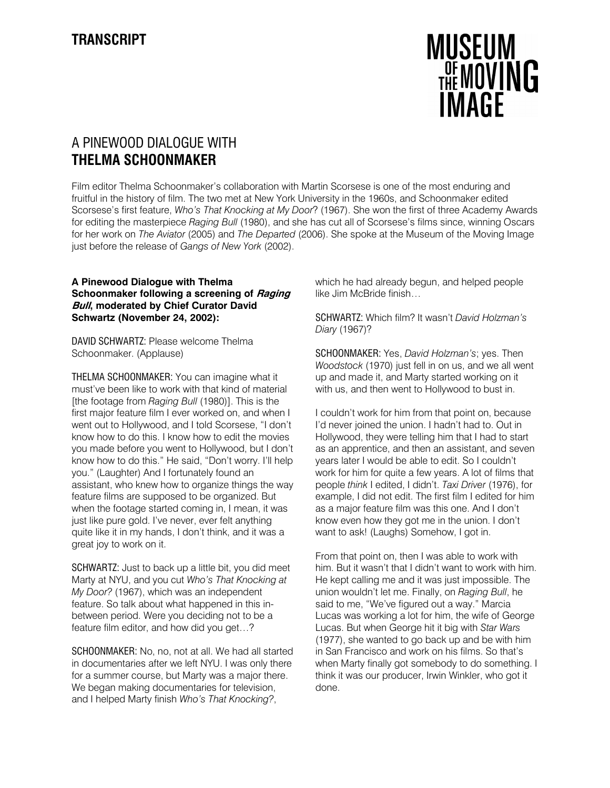

# A PINEWOOD DIALOGUE WITH THELMA SCHOONMAKER

Film editor Thelma Schoonmaker's collaboration with Martin Scorsese is one of the most enduring and fruitful in the history of film. The two met at New York University in the 1960s, and Schoonmaker edited Scorsese's first feature, Who's That Knocking at My Door? (1967). She won the first of three Academy Awards for editing the masterpiece Raging Bull (1980), and she has cut all of Scorsese's films since, winning Oscars for her work on The Aviator (2005) and The Departed (2006). She spoke at the Museum of the Moving Image just before the release of Gangs of New York (2002).

## A Pinewood Dialogue with Thelma Schoonmaker following a screening of Raging **Bull, moderated by Chief Curator David** Schwartz (November 24, 2002):

DAVID SCHWARTZ: Please welcome Thelma Schoonmaker. (Applause)

THELMA SCHOONMAKER: You can imagine what it must've been like to work with that kind of material [the footage from Raging Bull (1980)]. This is the first major feature film I ever worked on, and when I went out to Hollywood, and I told Scorsese, "I don't know how to do this. I know how to edit the movies you made before you went to Hollywood, but I don't know how to do this." He said, "Don't worry. I'll help you." (Laughter) And I fortunately found an assistant, who knew how to organize things the way feature films are supposed to be organized. But when the footage started coming in, I mean, it was just like pure gold. I've never, ever felt anything quite like it in my hands, I don't think, and it was a great joy to work on it.

SCHWARTZ: Just to back up a little bit, you did meet Marty at NYU, and you cut Who's That Knocking at My Door? (1967), which was an independent feature. So talk about what happened in this inbetween period. Were you deciding not to be a feature film editor, and how did you get…?

SCHOONMAKER: No, no, not at all. We had all started in documentaries after we left NYU. I was only there for a summer course, but Marty was a major there. We began making documentaries for television, and I helped Marty finish Who's That Knocking?,

which he had already begun, and helped people like Jim McBride finish…

SCHWARTZ: Which film? It wasn't David Holzman's Diary (1967)?

SCHOONMAKER: Yes, David Holzman's; yes. Then Woodstock (1970) just fell in on us, and we all went up and made it, and Marty started working on it with us, and then went to Hollywood to bust in.

I couldn't work for him from that point on, because I'd never joined the union. I hadn't had to. Out in Hollywood, they were telling him that I had to start as an apprentice, and then an assistant, and seven years later I would be able to edit. So I couldn't work for him for quite a few years. A lot of films that people think I edited, I didn't. Taxi Driver (1976), for example, I did not edit. The first film I edited for him as a major feature film was this one. And I don't know even how they got me in the union. I don't want to ask! (Laughs) Somehow, I got in.

From that point on, then I was able to work with him. But it wasn't that I didn't want to work with him. He kept calling me and it was just impossible. The union wouldn't let me. Finally, on Raging Bull, he said to me, "We've figured out a way." Marcia Lucas was working a lot for him, the wife of George Lucas. But when George hit it big with Star Wars (1977), she wanted to go back up and be with him in San Francisco and work on his films. So that's when Marty finally got somebody to do something. I think it was our producer, Irwin Winkler, who got it done.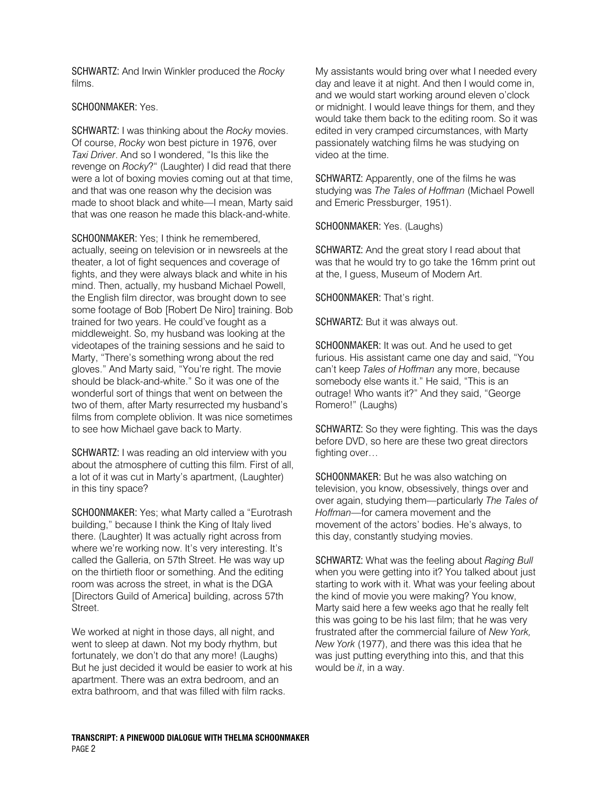SCHWARTZ: And Irwin Winkler produced the Rocky films.

## SCHOONMAKER: Yes.

SCHWARTZ: I was thinking about the Rocky movies. Of course, Rocky won best picture in 1976, over Taxi Driver. And so I wondered, "Is this like the revenge on Rocky?" (Laughter) I did read that there were a lot of boxing movies coming out at that time, and that was one reason why the decision was made to shoot black and white—I mean, Marty said that was one reason he made this black-and-white.

SCHOONMAKER: Yes; I think he remembered, actually, seeing on television or in newsreels at the theater, a lot of fight sequences and coverage of fights, and they were always black and white in his mind. Then, actually, my husband Michael Powell, the English film director, was brought down to see some footage of Bob [Robert De Niro] training. Bob trained for two years. He could've fought as a middleweight. So, my husband was looking at the videotapes of the training sessions and he said to Marty, "There's something wrong about the red gloves." And Marty said, "You're right. The movie should be black-and-white." So it was one of the wonderful sort of things that went on between the two of them, after Marty resurrected my husband's films from complete oblivion. It was nice sometimes to see how Michael gave back to Marty.

SCHWARTZ: I was reading an old interview with you about the atmosphere of cutting this film. First of all, a lot of it was cut in Marty's apartment, (Laughter) in this tiny space?

SCHOONMAKER: Yes; what Marty called a "Eurotrash building," because I think the King of Italy lived there. (Laughter) It was actually right across from where we're working now. It's very interesting. It's called the Galleria, on 57th Street. He was way up on the thirtieth floor or something. And the editing room was across the street, in what is the DGA [Directors Guild of America] building, across 57th **Street** 

We worked at night in those days, all night, and went to sleep at dawn. Not my body rhythm, but fortunately, we don't do that any more! (Laughs) But he just decided it would be easier to work at his apartment. There was an extra bedroom, and an extra bathroom, and that was filled with film racks.

My assistants would bring over what I needed every day and leave it at night. And then I would come in, and we would start working around eleven o'clock or midnight. I would leave things for them, and they would take them back to the editing room. So it was edited in very cramped circumstances, with Marty passionately watching films he was studying on video at the time.

SCHWARTZ: Apparently, one of the films he was studying was The Tales of Hoffman (Michael Powell and Emeric Pressburger, 1951).

SCHOONMAKER: Yes. (Laughs)

SCHWARTZ: And the great story I read about that was that he would try to go take the 16mm print out at the, I guess, Museum of Modern Art.

SCHOONMAKER: That's right.

SCHWARTZ: But it was always out.

SCHOONMAKER: It was out. And he used to get furious. His assistant came one day and said, "You can't keep Tales of Hoffman any more, because somebody else wants it." He said, "This is an outrage! Who wants it?" And they said, "George Romero!" (Laughs)

SCHWARTZ: So they were fighting. This was the days before DVD, so here are these two great directors fighting over…

SCHOONMAKER: But he was also watching on television, you know, obsessively, things over and over again, studying them—particularly The Tales of Hoffman—for camera movement and the movement of the actors' bodies. He's always, to this day, constantly studying movies.

SCHWARTZ: What was the feeling about Raging Bull when you were getting into it? You talked about just starting to work with it. What was your feeling about the kind of movie you were making? You know, Marty said here a few weeks ago that he really felt this was going to be his last film; that he was very frustrated after the commercial failure of New York New York (1977), and there was this idea that he was just putting everything into this, and that this would be it, in a way.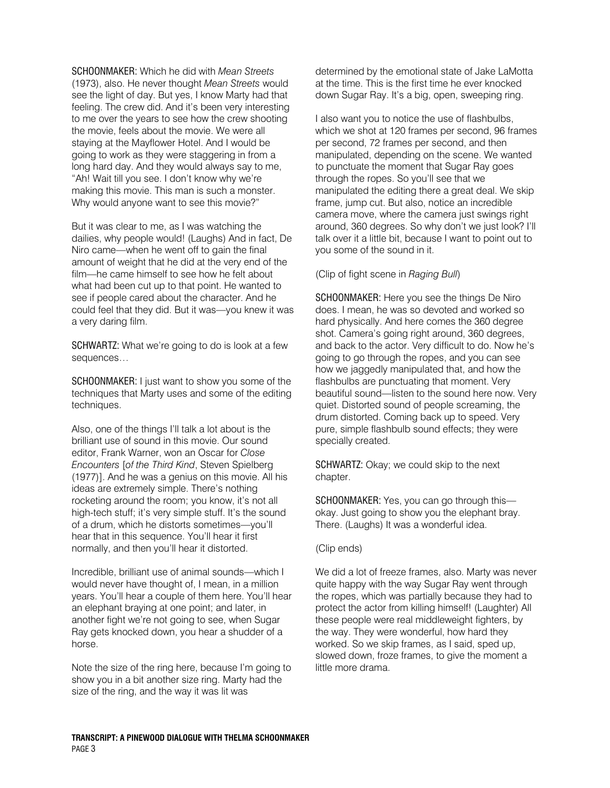SCHOONMAKER: Which he did with Mean Streets (1973), also. He never thought Mean Streets would see the light of day. But yes, I know Marty had that feeling. The crew did. And it's been very interesting to me over the years to see how the crew shooting the movie, feels about the movie. We were all staying at the Mayflower Hotel. And I would be going to work as they were staggering in from a long hard day. And they would always say to me, "Ah! Wait till you see. I don't know why we're making this movie. This man is such a monster. Why would anyone want to see this movie?"

But it was clear to me, as I was watching the dailies, why people would! (Laughs) And in fact, De Niro came—when he went off to gain the final amount of weight that he did at the very end of the film—he came himself to see how he felt about what had been cut up to that point. He wanted to see if people cared about the character. And he could feel that they did. But it was—you knew it was a very daring film.

SCHWARTZ: What we're going to do is look at a few sequences…

SCHOONMAKER: I just want to show you some of the techniques that Marty uses and some of the editing techniques.

Also, one of the things I'll talk a lot about is the brilliant use of sound in this movie. Our sound editor, Frank Warner, won an Oscar for Close Encounters [of the Third Kind, Steven Spielberg (1977)]. And he was a genius on this movie. All his ideas are extremely simple. There's nothing rocketing around the room; you know, it's not all high-tech stuff; it's very simple stuff. It's the sound of a drum, which he distorts sometimes—you'll hear that in this sequence. You'll hear it first normally, and then you'll hear it distorted.

Incredible, brilliant use of animal sounds—which I would never have thought of, I mean, in a million years. You'll hear a couple of them here. You'll hear an elephant braying at one point; and later, in another fight we're not going to see, when Sugar Ray gets knocked down, you hear a shudder of a horse.

Note the size of the ring here, because I'm going to show you in a bit another size ring. Marty had the size of the ring, and the way it was lit was

determined by the emotional state of Jake LaMotta at the time. This is the first time he ever knocked down Sugar Ray. It's a big, open, sweeping ring.

I also want you to notice the use of flashbulbs, which we shot at 120 frames per second, 96 frames per second, 72 frames per second, and then manipulated, depending on the scene. We wanted to punctuate the moment that Sugar Ray goes through the ropes. So you'll see that we manipulated the editing there a great deal. We skip frame, jump cut. But also, notice an incredible camera move, where the camera just swings right around, 360 degrees. So why don't we just look? I'll talk over it a little bit, because I want to point out to you some of the sound in it.

(Clip of fight scene in Raging Bull)

SCHOONMAKER: Here you see the things De Niro does. I mean, he was so devoted and worked so hard physically. And here comes the 360 degree shot. Camera's going right around, 360 degrees, and back to the actor. Very difficult to do. Now he's going to go through the ropes, and you can see how we jaggedly manipulated that, and how the flashbulbs are punctuating that moment. Very beautiful sound—listen to the sound here now. Very quiet. Distorted sound of people screaming, the drum distorted. Coming back up to speed. Very pure, simple flashbulb sound effects; they were specially created.

SCHWARTZ: Okay; we could skip to the next chapter.

SCHOONMAKER: Yes, you can go through this okay. Just going to show you the elephant bray. There. (Laughs) It was a wonderful idea.

### (Clip ends)

We did a lot of freeze frames, also. Marty was never quite happy with the way Sugar Ray went through the ropes, which was partially because they had to protect the actor from killing himself! (Laughter) All these people were real middleweight fighters, by the way. They were wonderful, how hard they worked. So we skip frames, as I said, sped up, slowed down, froze frames, to give the moment a little more drama.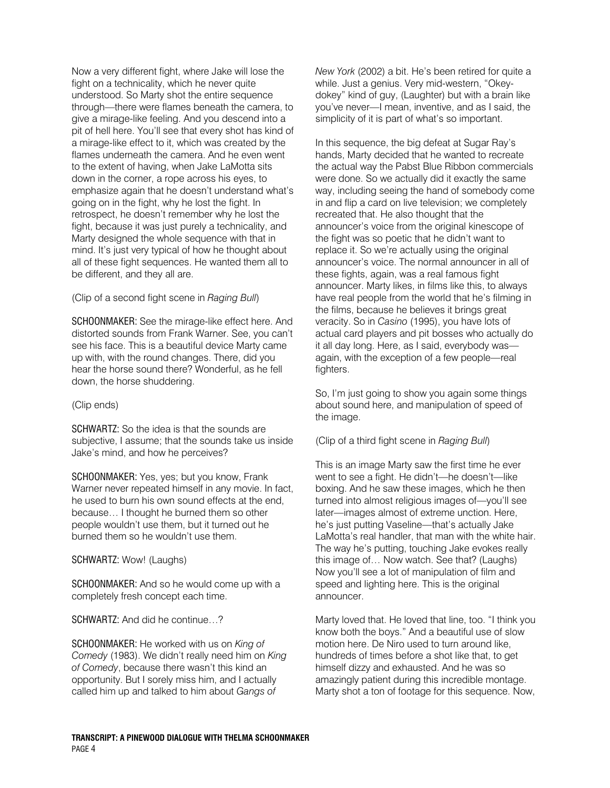Now a very different fight, where Jake will lose the fight on a technicality, which he never quite understood. So Marty shot the entire sequence through—there were flames beneath the camera, to give a mirage-like feeling. And you descend into a pit of hell here. You'll see that every shot has kind of a mirage-like effect to it, which was created by the flames underneath the camera. And he even went to the extent of having, when Jake LaMotta sits down in the corner, a rope across his eyes, to emphasize again that he doesn't understand what's going on in the fight, why he lost the fight. In retrospect, he doesn't remember why he lost the fight, because it was just purely a technicality, and Marty designed the whole sequence with that in mind. It's just very typical of how he thought about all of these fight sequences. He wanted them all to be different, and they all are.

(Clip of a second fight scene in Raging Bull)

SCHOONMAKER: See the mirage-like effect here. And distorted sounds from Frank Warner. See, you can't see his face. This is a beautiful device Marty came up with, with the round changes. There, did you hear the horse sound there? Wonderful, as he fell down, the horse shuddering.

## (Clip ends)

SCHWARTZ: So the idea is that the sounds are subjective, I assume; that the sounds take us inside Jake's mind, and how he perceives?

SCHOONMAKER: Yes, yes; but you know, Frank Warner never repeated himself in any movie. In fact, he used to burn his own sound effects at the end, because… I thought he burned them so other people wouldn't use them, but it turned out he burned them so he wouldn't use them.

## SCHWARTZ: Wow! (Laughs)

SCHOONMAKER: And so he would come up with a completely fresh concept each time.

SCHWARTZ: And did he continue…?

SCHOONMAKER: He worked with us on King of Comedy (1983). We didn't really need him on King of Comedy, because there wasn't this kind an opportunity. But I sorely miss him, and I actually called him up and talked to him about Gangs of

New York (2002) a bit. He's been retired for quite a while. Just a genius. Very mid-western, "Okeydokey" kind of guy, (Laughter) but with a brain like you've never—I mean, inventive, and as I said, the simplicity of it is part of what's so important.

In this sequence, the big defeat at Sugar Ray's hands, Marty decided that he wanted to recreate the actual way the Pabst Blue Ribbon commercials were done. So we actually did it exactly the same way, including seeing the hand of somebody come in and flip a card on live television; we completely recreated that. He also thought that the announcer's voice from the original kinescope of the fight was so poetic that he didn't want to replace it. So we're actually using the original announcer's voice. The normal announcer in all of these fights, again, was a real famous fight announcer. Marty likes, in films like this, to always have real people from the world that he's filming in the films, because he believes it brings great veracity. So in Casino (1995), you have lots of actual card players and pit bosses who actually do it all day long. Here, as I said, everybody was again, with the exception of a few people—real fighters.

So, I'm just going to show you again some things about sound here, and manipulation of speed of the image.

## (Clip of a third fight scene in Raging Bull)

This is an image Marty saw the first time he ever went to see a fight. He didn't—he doesn't—like boxing. And he saw these images, which he then turned into almost religious images of—you'll see later—images almost of extreme unction. Here, he's just putting Vaseline—that's actually Jake LaMotta's real handler, that man with the white hair. The way he's putting, touching Jake evokes really this image of… Now watch. See that? (Laughs) Now you'll see a lot of manipulation of film and speed and lighting here. This is the original announcer.

Marty loved that. He loved that line, too. "I think you know both the boys." And a beautiful use of slow motion here. De Niro used to turn around like, hundreds of times before a shot like that, to get himself dizzy and exhausted. And he was so amazingly patient during this incredible montage. Marty shot a ton of footage for this sequence. Now,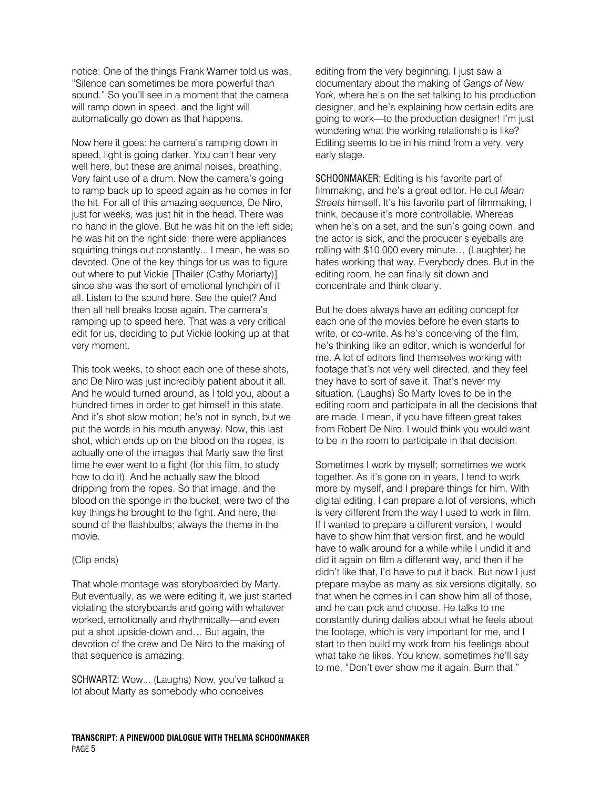notice: One of the things Frank Warner told us was, "Silence can sometimes be more powerful than sound." So you'll see in a moment that the camera will ramp down in speed, and the light will automatically go down as that happens.

Now here it goes: he camera's ramping down in speed, light is going darker. You can't hear very well here, but these are animal noises, breathing. Very faint use of a drum. Now the camera's going to ramp back up to speed again as he comes in for the hit. For all of this amazing sequence, De Niro, just for weeks, was just hit in the head. There was no hand in the glove. But he was hit on the left side; he was hit on the right side; there were appliances squirting things out constantly... I mean, he was so devoted. One of the key things for us was to figure out where to put Vickie [Thailer (Cathy Moriarty)] since she was the sort of emotional lynchpin of it all. Listen to the sound here. See the quiet? And then all hell breaks loose again. The camera's ramping up to speed here. That was a very critical edit for us, deciding to put Vickie looking up at that very moment.

This took weeks, to shoot each one of these shots, and De Niro was just incredibly patient about it all. And he would turned around, as I told you, about a hundred times in order to get himself in this state. And it's shot slow motion; he's not in synch, but we put the words in his mouth anyway. Now, this last shot, which ends up on the blood on the ropes, is actually one of the images that Marty saw the first time he ever went to a fight (for this film, to study how to do it). And he actually saw the blood dripping from the ropes. So that image, and the blood on the sponge in the bucket, were two of the key things he brought to the fight. And here, the sound of the flashbulbs; always the theme in the movie.

### (Clip ends)

That whole montage was storyboarded by Marty. But eventually, as we were editing it, we just started violating the storyboards and going with whatever worked, emotionally and rhythmically—and even put a shot upside-down and… But again, the devotion of the crew and De Niro to the making of that sequence is amazing.

SCHWARTZ: Wow... (Laughs) Now, you've talked a lot about Marty as somebody who conceives

editing from the very beginning. I just saw a documentary about the making of Gangs of New York, where he's on the set talking to his production designer, and he's explaining how certain edits are going to work—to the production designer! I'm just wondering what the working relationship is like? Editing seems to be in his mind from a very, very early stage.

SCHOONMAKER: Editing is his favorite part of filmmaking, and he's a great editor. He cut Mean Streets himself. It's his favorite part of filmmaking, I think, because it's more controllable. Whereas when he's on a set, and the sun's going down, and the actor is sick, and the producer's eyeballs are rolling with \$10,000 every minute… (Laughter) he hates working that way. Everybody does. But in the editing room, he can finally sit down and concentrate and think clearly.

But he does always have an editing concept for each one of the movies before he even starts to write, or co-write. As he's conceiving of the film, he's thinking like an editor, which is wonderful for me. A lot of editors find themselves working with footage that's not very well directed, and they feel they have to sort of save it. That's never my situation. (Laughs) So Marty loves to be in the editing room and participate in all the decisions that are made. I mean, if you have fifteen great takes from Robert De Niro, I would think you would want to be in the room to participate in that decision.

Sometimes I work by myself; sometimes we work together. As it's gone on in years, I tend to work more by myself, and I prepare things for him. With digital editing, I can prepare a lot of versions, which is very different from the way I used to work in film. If I wanted to prepare a different version, I would have to show him that version first, and he would have to walk around for a while while I undid it and did it again on film a different way, and then if he didn't like that, I'd have to put it back. But now I just prepare maybe as many as six versions digitally, so that when he comes in I can show him all of those, and he can pick and choose. He talks to me constantly during dailies about what he feels about the footage, which is very important for me, and I start to then build my work from his feelings about what take he likes. You know, sometimes he'll say to me, "Don't ever show me it again. Burn that."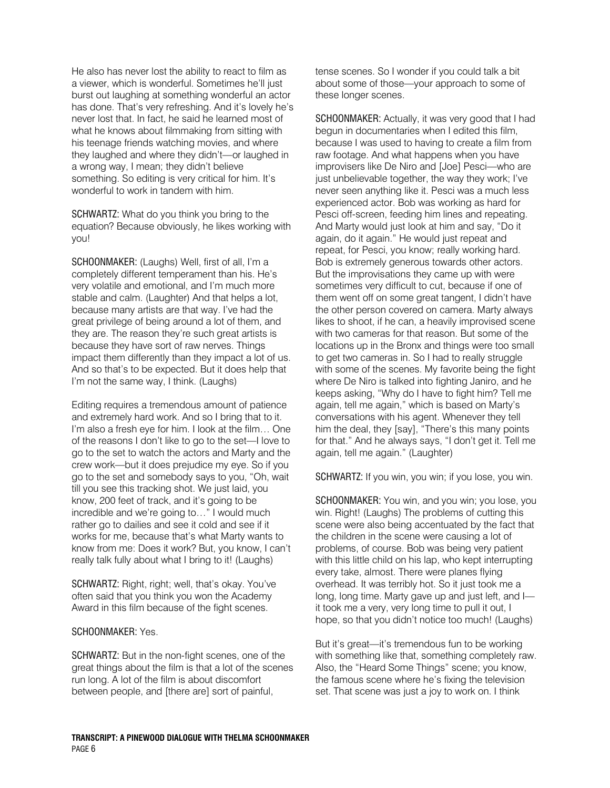He also has never lost the ability to react to film as a viewer, which is wonderful. Sometimes he'll just burst out laughing at something wonderful an actor has done. That's very refreshing. And it's lovely he's never lost that. In fact, he said he learned most of what he knows about filmmaking from sitting with his teenage friends watching movies, and where they laughed and where they didn't—or laughed in a wrong way, I mean; they didn't believe something. So editing is very critical for him. It's wonderful to work in tandem with him.

SCHWARTZ: What do you think you bring to the equation? Because obviously, he likes working with you!

SCHOONMAKER: (Laughs) Well, first of all, I'm a completely different temperament than his. He's very volatile and emotional, and I'm much more stable and calm. (Laughter) And that helps a lot, because many artists are that way. I've had the great privilege of being around a lot of them, and they are. The reason they're such great artists is because they have sort of raw nerves. Things impact them differently than they impact a lot of us. And so that's to be expected. But it does help that I'm not the same way, I think. (Laughs)

Editing requires a tremendous amount of patience and extremely hard work. And so I bring that to it. I'm also a fresh eye for him. I look at the film… One of the reasons I don't like to go to the set—I love to go to the set to watch the actors and Marty and the crew work—but it does prejudice my eye. So if you go to the set and somebody says to you, "Oh, wait till you see this tracking shot. We just laid, you know, 200 feet of track, and it's going to be incredible and we're going to…" I would much rather go to dailies and see it cold and see if it works for me, because that's what Marty wants to know from me: Does it work? But, you know, I can't really talk fully about what I bring to it! (Laughs)

SCHWARTZ: Right, right; well, that's okay. You've often said that you think you won the Academy Award in this film because of the fight scenes.

### SCHOONMAKER: Yes.

SCHWARTZ: But in the non-fight scenes, one of the great things about the film is that a lot of the scenes run long. A lot of the film is about discomfort between people, and [there are] sort of painful,

tense scenes. So I wonder if you could talk a bit about some of those—your approach to some of these longer scenes.

SCHOONMAKER: Actually, it was very good that I had begun in documentaries when I edited this film, because I was used to having to create a film from raw footage. And what happens when you have improvisers like De Niro and [Joe] Pesci—who are just unbelievable together, the way they work; I've never seen anything like it. Pesci was a much less experienced actor. Bob was working as hard for Pesci off-screen, feeding him lines and repeating. And Marty would just look at him and say, "Do it again, do it again." He would just repeat and repeat, for Pesci, you know; really working hard. Bob is extremely generous towards other actors. But the improvisations they came up with were sometimes very difficult to cut, because if one of them went off on some great tangent, I didn't have the other person covered on camera. Marty always likes to shoot, if he can, a heavily improvised scene with two cameras for that reason. But some of the locations up in the Bronx and things were too small to get two cameras in. So I had to really struggle with some of the scenes. My favorite being the fight where De Niro is talked into fighting Janiro, and he keeps asking, "Why do I have to fight him? Tell me again, tell me again," which is based on Marty's conversations with his agent. Whenever they tell him the deal, they [say], "There's this many points for that." And he always says, "I don't get it. Tell me again, tell me again." (Laughter)

SCHWARTZ: If you win, you win; if you lose, you win.

SCHOONMAKER: You win, and you win; you lose, you win. Right! (Laughs) The problems of cutting this scene were also being accentuated by the fact that the children in the scene were causing a lot of problems, of course. Bob was being very patient with this little child on his lap, who kept interrupting every take, almost. There were planes flying overhead. It was terribly hot. So it just took me a long, long time. Marty gave up and just left, and I it took me a very, very long time to pull it out, I hope, so that you didn't notice too much! (Laughs)

But it's great—it's tremendous fun to be working with something like that, something completely raw. Also, the "Heard Some Things" scene; you know, the famous scene where he's fixing the television set. That scene was just a joy to work on. I think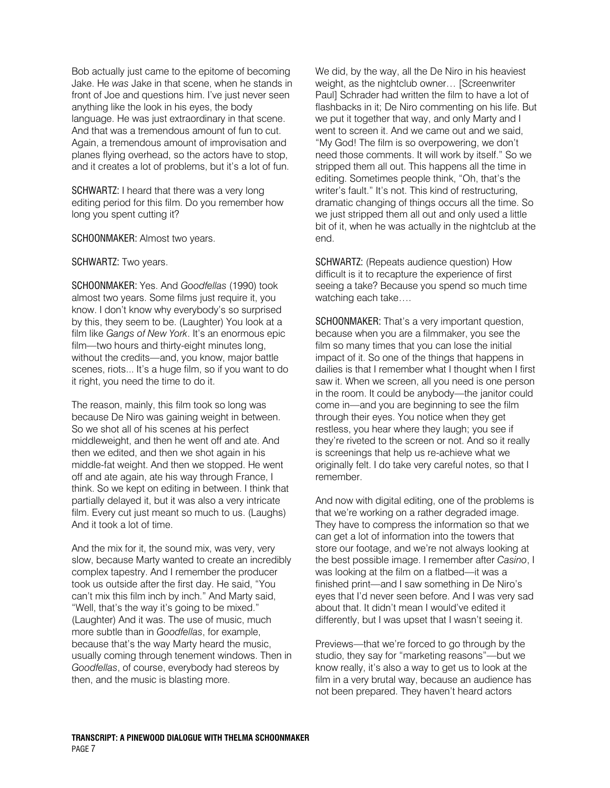Bob actually just came to the epitome of becoming Jake. He was Jake in that scene, when he stands in front of Joe and questions him. I've just never seen anything like the look in his eyes, the body language. He was just extraordinary in that scene. And that was a tremendous amount of fun to cut. Again, a tremendous amount of improvisation and planes flying overhead, so the actors have to stop, and it creates a lot of problems, but it's a lot of fun.

SCHWARTZ: I heard that there was a very long editing period for this film. Do you remember how long you spent cutting it?

SCHOONMAKER: Almost two years.

SCHWARTZ: Two years.

SCHOONMAKER: Yes. And Goodfellas (1990) took almost two years. Some films just require it, you know. I don't know why everybody's so surprised by this, they seem to be. (Laughter) You look at a film like Gangs of New York. It's an enormous epic film—two hours and thirty-eight minutes long, without the credits—and, you know, major battle scenes, riots... It's a huge film, so if you want to do it right, you need the time to do it.

The reason, mainly, this film took so long was because De Niro was gaining weight in between. So we shot all of his scenes at his perfect middleweight, and then he went off and ate. And then we edited, and then we shot again in his middle-fat weight. And then we stopped. He went off and ate again, ate his way through France, I think. So we kept on editing in between. I think that partially delayed it, but it was also a very intricate film. Every cut just meant so much to us. (Laughs) And it took a lot of time.

And the mix for it, the sound mix, was very, very slow, because Marty wanted to create an incredibly complex tapestry. And I remember the producer took us outside after the first day. He said, "You can't mix this film inch by inch." And Marty said, "Well, that's the way it's going to be mixed." (Laughter) And it was. The use of music, much more subtle than in Goodfellas, for example, because that's the way Marty heard the music, usually coming through tenement windows. Then in Goodfellas, of course, everybody had stereos by then, and the music is blasting more.

We did, by the way, all the De Niro in his heaviest weight, as the nightclub owner… [Screenwriter Paul] Schrader had written the film to have a lot of flashbacks in it; De Niro commenting on his life. But we put it together that way, and only Marty and I went to screen it. And we came out and we said, "My God! The film is so overpowering, we don't need those comments. It will work by itself." So we stripped them all out. This happens all the time in editing. Sometimes people think, "Oh, that's the writer's fault." It's not. This kind of restructuring, dramatic changing of things occurs all the time. So we just stripped them all out and only used a little bit of it, when he was actually in the nightclub at the end.

SCHWARTZ: (Repeats audience question) How difficult is it to recapture the experience of first seeing a take? Because you spend so much time watching each take….

SCHOONMAKER: That's a very important question, because when you are a filmmaker, you see the film so many times that you can lose the initial impact of it. So one of the things that happens in dailies is that I remember what I thought when I first saw it. When we screen, all you need is one person in the room. It could be anybody—the janitor could come in—and you are beginning to see the film through their eyes. You notice when they get restless, you hear where they laugh; you see if they're riveted to the screen or not. And so it really is screenings that help us re-achieve what we originally felt. I do take very careful notes, so that I remember.

And now with digital editing, one of the problems is that we're working on a rather degraded image. They have to compress the information so that we can get a lot of information into the towers that store our footage, and we're not always looking at the best possible image. I remember after Casino, I was looking at the film on a flatbed—it was a finished print—and I saw something in De Niro's eyes that I'd never seen before. And I was very sad about that. It didn't mean I would've edited it differently, but I was upset that I wasn't seeing it.

Previews—that we're forced to go through by the studio, they say for "marketing reasons"—but we know really, it's also a way to get us to look at the film in a very brutal way, because an audience has not been prepared. They haven't heard actors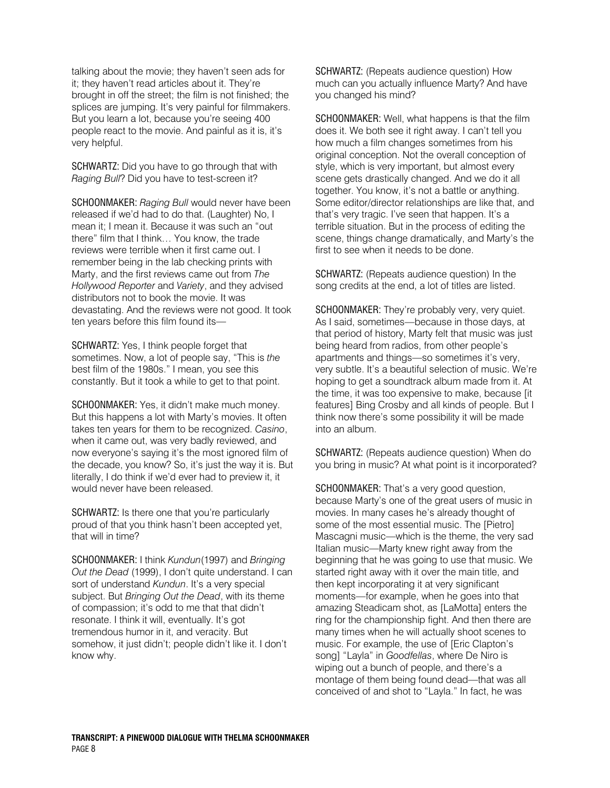talking about the movie; they haven't seen ads for it; they haven't read articles about it. They're brought in off the street; the film is not finished; the splices are jumping. It's very painful for filmmakers. But you learn a lot, because you're seeing 400 people react to the movie. And painful as it is, it's very helpful.

SCHWARTZ: Did you have to go through that with Raging Bull? Did you have to test-screen it?

SCHOONMAKER: Raging Bull would never have been released if we'd had to do that. (Laughter) No, I mean it; I mean it. Because it was such an "out there" film that I think… You know, the trade reviews were terrible when it first came out. I remember being in the lab checking prints with Marty, and the first reviews came out from The Hollywood Reporter and Variety, and they advised distributors not to book the movie. It was devastating. And the reviews were not good. It took ten years before this film found its—

SCHWARTZ: Yes, I think people forget that sometimes. Now, a lot of people say, "This is the best film of the 1980s." I mean, you see this constantly. But it took a while to get to that point.

SCHOONMAKER: Yes, it didn't make much money. But this happens a lot with Marty's movies. It often takes ten years for them to be recognized. Casino, when it came out, was very badly reviewed, and now everyone's saying it's the most ignored film of the decade, you know? So, it's just the way it is. But literally, I do think if we'd ever had to preview it, it would never have been released.

SCHWARTZ: Is there one that you're particularly proud of that you think hasn't been accepted yet, that will in time?

SCHOONMAKER: I think Kundun(1997) and Bringing Out the Dead (1999), I don't quite understand. I can sort of understand Kundun. It's a very special subject. But Bringing Out the Dead, with its theme of compassion; it's odd to me that that didn't resonate. I think it will, eventually. It's got tremendous humor in it, and veracity. But somehow, it just didn't; people didn't like it. I don't know why.

SCHWARTZ: (Repeats audience question) How much can you actually influence Marty? And have you changed his mind?

SCHOONMAKER: Well, what happens is that the film does it. We both see it right away. I can't tell you how much a film changes sometimes from his original conception. Not the overall conception of style, which is very important, but almost every scene gets drastically changed. And we do it all together. You know, it's not a battle or anything. Some editor/director relationships are like that, and that's very tragic. I've seen that happen. It's a terrible situation. But in the process of editing the scene, things change dramatically, and Marty's the first to see when it needs to be done.

SCHWARTZ: (Repeats audience question) In the song credits at the end, a lot of titles are listed.

SCHOONMAKER: They're probably very, very quiet. As I said, sometimes—because in those days, at that period of history, Marty felt that music was just being heard from radios, from other people's apartments and things—so sometimes it's very, very subtle. It's a beautiful selection of music. We're hoping to get a soundtrack album made from it. At the time, it was too expensive to make, because [it features] Bing Crosby and all kinds of people. But I think now there's some possibility it will be made into an album.

SCHWARTZ: (Repeats audience question) When do you bring in music? At what point is it incorporated?

SCHOONMAKER: That's a very good question, because Marty's one of the great users of music in movies. In many cases he's already thought of some of the most essential music. The [Pietro] Mascagni music—which is the theme, the very sad Italian music—Marty knew right away from the beginning that he was going to use that music. We started right away with it over the main title, and then kept incorporating it at very significant moments—for example, when he goes into that amazing Steadicam shot, as [LaMotta] enters the ring for the championship fight. And then there are many times when he will actually shoot scenes to music. For example, the use of [Eric Clapton's song] "Layla" in Goodfellas, where De Niro is wiping out a bunch of people, and there's a montage of them being found dead—that was all conceived of and shot to "Layla." In fact, he was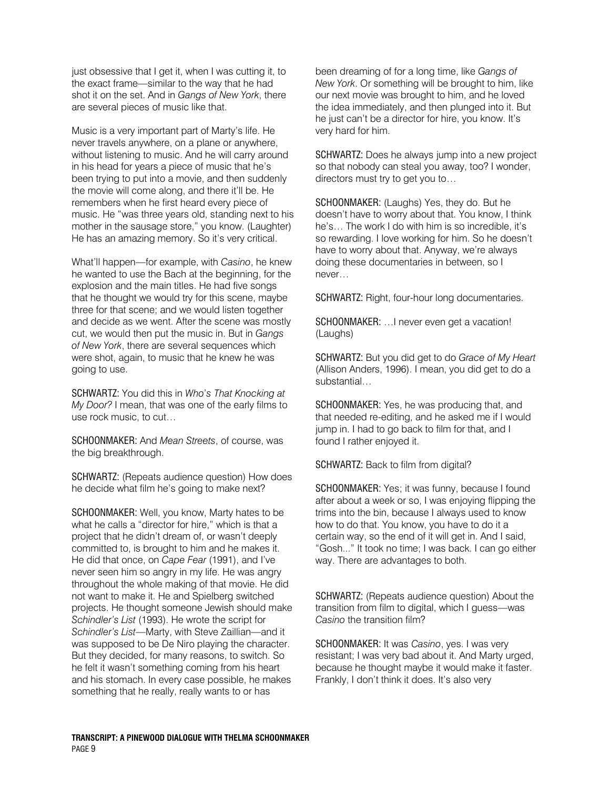just obsessive that I get it, when I was cutting it, to the exact frame—similar to the way that he had shot it on the set. And in Gangs of New York, there are several pieces of music like that.

Music is a very important part of Marty's life. He never travels anywhere, on a plane or anywhere, without listening to music. And he will carry around in his head for years a piece of music that he's been trying to put into a movie, and then suddenly the movie will come along, and there it'll be. He remembers when he first heard every piece of music. He "was three years old, standing next to his mother in the sausage store," you know. (Laughter) He has an amazing memory. So it's very critical.

What'll happen—for example, with Casino, he knew he wanted to use the Bach at the beginning, for the explosion and the main titles. He had five songs that he thought we would try for this scene, maybe three for that scene; and we would listen together and decide as we went. After the scene was mostly cut, we would then put the music in. But in Gangs of New York, there are several sequences which were shot, again, to music that he knew he was going to use.

SCHWARTZ: You did this in Who's That Knocking at My Door? I mean, that was one of the early films to use rock music, to cut…

SCHOONMAKER: And Mean Streets, of course, was the big breakthrough.

SCHWARTZ: (Repeats audience question) How does he decide what film he's going to make next?

SCHOONMAKER: Well, you know, Marty hates to be what he calls a "director for hire," which is that a project that he didn't dream of, or wasn't deeply committed to, is brought to him and he makes it. He did that once, on Cape Fear (1991), and I've never seen him so angry in my life. He was angry throughout the whole making of that movie. He did not want to make it. He and Spielberg switched projects. He thought someone Jewish should make Schindler's List (1993). He wrote the script for Schindler's List—Marty, with Steve Zaillian—and it was supposed to be De Niro playing the character. But they decided, for many reasons, to switch. So he felt it wasn't something coming from his heart and his stomach. In every case possible, he makes something that he really, really wants to or has

been dreaming of for a long time, like Gangs of New York. Or something will be brought to him, like our next movie was brought to him, and he loved the idea immediately, and then plunged into it. But he just can't be a director for hire, you know. It's very hard for him.

SCHWARTZ: Does he always jump into a new project so that nobody can steal you away, too? I wonder, directors must try to get you to…

SCHOONMAKER: (Laughs) Yes, they do. But he doesn't have to worry about that. You know, I think he's… The work I do with him is so incredible, it's so rewarding. I love working for him. So he doesn't have to worry about that. Anyway, we're always doing these documentaries in between, so I never…

SCHWARTZ: Right, four-hour long documentaries.

SCHOONMAKER: …I never even get a vacation! (Laughs)

SCHWARTZ: But you did get to do Grace of My Heart (Allison Anders, 1996). I mean, you did get to do a substantial…

SCHOONMAKER: Yes, he was producing that, and that needed re-editing, and he asked me if I would jump in. I had to go back to film for that, and I found I rather enjoyed it.

SCHWARTZ: Back to film from digital?

SCHOONMAKER: Yes; it was funny, because I found after about a week or so, I was enjoying flipping the trims into the bin, because I always used to know how to do that. You know, you have to do it a certain way, so the end of it will get in. And I said, "Gosh..." It took no time; I was back. I can go either way. There are advantages to both.

SCHWARTZ: (Repeats audience question) About the transition from film to digital, which I guess—was Casino the transition film?

SCHOONMAKER: It was Casino, yes. I was very resistant; I was very bad about it. And Marty urged, because he thought maybe it would make it faster. Frankly, I don't think it does. It's also very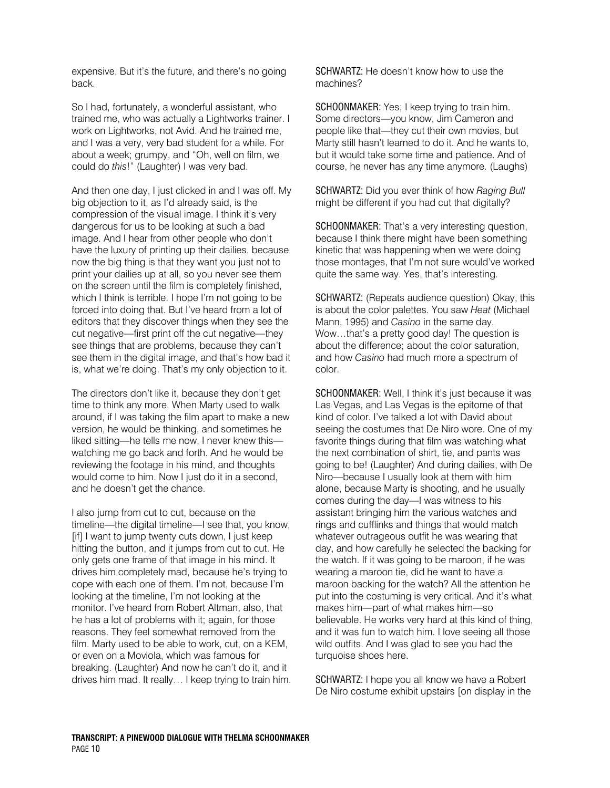expensive. But it's the future, and there's no going back.

So I had, fortunately, a wonderful assistant, who trained me, who was actually a Lightworks trainer. I work on Lightworks, not Avid. And he trained me, and I was a very, very bad student for a while. For about a week; grumpy, and "Oh, well on film, we could do this!" (Laughter) I was very bad.

And then one day, I just clicked in and I was off. My big objection to it, as I'd already said, is the compression of the visual image. I think it's very dangerous for us to be looking at such a bad image. And I hear from other people who don't have the luxury of printing up their dailies, because now the big thing is that they want you just not to print your dailies up at all, so you never see them on the screen until the film is completely finished, which I think is terrible. I hope I'm not going to be forced into doing that. But I've heard from a lot of editors that they discover things when they see the cut negative—first print off the cut negative—they see things that are problems, because they can't see them in the digital image, and that's how bad it is, what we're doing. That's my only objection to it.

The directors don't like it, because they don't get time to think any more. When Marty used to walk around, if I was taking the film apart to make a new version, he would be thinking, and sometimes he liked sitting—he tells me now, I never knew this watching me go back and forth. And he would be reviewing the footage in his mind, and thoughts would come to him. Now I just do it in a second, and he doesn't get the chance.

I also jump from cut to cut, because on the timeline—the digital timeline—I see that, you know, [if] I want to jump twenty cuts down, I just keep hitting the button, and it jumps from cut to cut. He only gets one frame of that image in his mind. It drives him completely mad, because he's trying to cope with each one of them. I'm not, because I'm looking at the timeline, I'm not looking at the monitor. I've heard from Robert Altman, also, that he has a lot of problems with it; again, for those reasons. They feel somewhat removed from the film. Marty used to be able to work, cut, on a KEM, or even on a Moviola, which was famous for breaking. (Laughter) And now he can't do it, and it drives him mad. It really… I keep trying to train him. SCHWARTZ: He doesn't know how to use the machines?

SCHOONMAKER: Yes; I keep trying to train him. Some directors—you know, Jim Cameron and people like that—they cut their own movies, but Marty still hasn't learned to do it. And he wants to, but it would take some time and patience. And of course, he never has any time anymore. (Laughs)

SCHWARTZ: Did you ever think of how Raging Bull might be different if you had cut that digitally?

SCHOONMAKER: That's a very interesting question, because I think there might have been something kinetic that was happening when we were doing those montages, that I'm not sure would've worked quite the same way. Yes, that's interesting.

SCHWARTZ: (Repeats audience question) Okay, this is about the color palettes. You saw Heat (Michael Mann, 1995) and Casino in the same day. Wow…that's a pretty good day! The question is about the difference; about the color saturation, and how Casino had much more a spectrum of color.

SCHOONMAKER: Well, I think it's just because it was Las Vegas, and Las Vegas is the epitome of that kind of color. I've talked a lot with David about seeing the costumes that De Niro wore. One of my favorite things during that film was watching what the next combination of shirt, tie, and pants was going to be! (Laughter) And during dailies, with De Niro—because I usually look at them with him alone, because Marty is shooting, and he usually comes during the day—I was witness to his assistant bringing him the various watches and rings and cufflinks and things that would match whatever outrageous outfit he was wearing that day, and how carefully he selected the backing for the watch. If it was going to be maroon, if he was wearing a maroon tie, did he want to have a maroon backing for the watch? All the attention he put into the costuming is very critical. And it's what makes him—part of what makes him—so believable. He works very hard at this kind of thing, and it was fun to watch him. I love seeing all those wild outfits. And I was glad to see you had the turquoise shoes here.

SCHWARTZ: I hope you all know we have a Robert De Niro costume exhibit upstairs [on display in the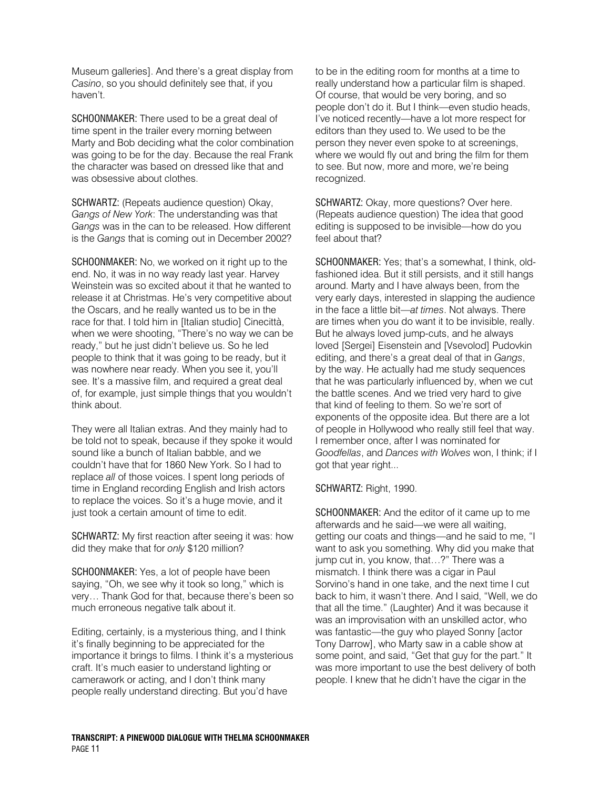Museum galleries]. And there's a great display from Casino, so you should definitely see that, if you haven't.

SCHOONMAKER: There used to be a great deal of time spent in the trailer every morning between Marty and Bob deciding what the color combination was going to be for the day. Because the real Frank the character was based on dressed like that and was obsessive about clothes.

SCHWARTZ: (Repeats audience question) Okay, Gangs of New York: The understanding was that Gangs was in the can to be released. How different is the Gangs that is coming out in December 2002?

SCHOONMAKER: No, we worked on it right up to the end. No, it was in no way ready last year. Harvey Weinstein was so excited about it that he wanted to release it at Christmas. He's very competitive about the Oscars, and he really wanted us to be in the race for that. I told him in [Italian studio] Cinecittà, when we were shooting, "There's no way we can be ready," but he just didn't believe us. So he led people to think that it was going to be ready, but it was nowhere near ready. When you see it, you'll see. It's a massive film, and required a great deal of, for example, just simple things that you wouldn't think about.

They were all Italian extras. And they mainly had to be told not to speak, because if they spoke it would sound like a bunch of Italian babble, and we couldn't have that for 1860 New York. So I had to replace all of those voices. I spent long periods of time in England recording English and Irish actors to replace the voices. So it's a huge movie, and it just took a certain amount of time to edit.

SCHWARTZ: My first reaction after seeing it was: how did they make that for only \$120 million?

SCHOONMAKER: Yes, a lot of people have been saying, "Oh, we see why it took so long," which is very… Thank God for that, because there's been so much erroneous negative talk about it.

Editing, certainly, is a mysterious thing, and I think it's finally beginning to be appreciated for the importance it brings to films. I think it's a mysterious craft. It's much easier to understand lighting or camerawork or acting, and I don't think many people really understand directing. But you'd have

to be in the editing room for months at a time to really understand how a particular film is shaped. Of course, that would be very boring, and so people don't do it. But I think—even studio heads, I've noticed recently—have a lot more respect for editors than they used to. We used to be the person they never even spoke to at screenings, where we would fly out and bring the film for them to see. But now, more and more, we're being recognized.

SCHWARTZ: Okay, more questions? Over here. (Repeats audience question) The idea that good editing is supposed to be invisible—how do you feel about that?

SCHOONMAKER: Yes; that's a somewhat, I think, oldfashioned idea. But it still persists, and it still hangs around. Marty and I have always been, from the very early days, interested in slapping the audience in the face a little bit—at times. Not always. There are times when you do want it to be invisible, really. But he always loved jump-cuts, and he always loved [Sergei] Eisenstein and [Vsevolod] Pudovkin editing, and there's a great deal of that in Gangs, by the way. He actually had me study sequences that he was particularly influenced by, when we cut the battle scenes. And we tried very hard to give that kind of feeling to them. So we're sort of exponents of the opposite idea. But there are a lot of people in Hollywood who really still feel that way. I remember once, after I was nominated for Goodfellas, and Dances with Wolves won, I think; if I got that year right...

### SCHWARTZ: Right, 1990.

SCHOONMAKER: And the editor of it came up to me afterwards and he said—we were all waiting, getting our coats and things—and he said to me, "I want to ask you something. Why did you make that jump cut in, you know, that…?" There was a mismatch. I think there was a cigar in Paul Sorvino's hand in one take, and the next time I cut back to him, it wasn't there. And I said, "Well, we do that all the time." (Laughter) And it was because it was an improvisation with an unskilled actor, who was fantastic—the guy who played Sonny [actor Tony Darrow], who Marty saw in a cable show at some point, and said, "Get that guy for the part." It was more important to use the best delivery of both people. I knew that he didn't have the cigar in the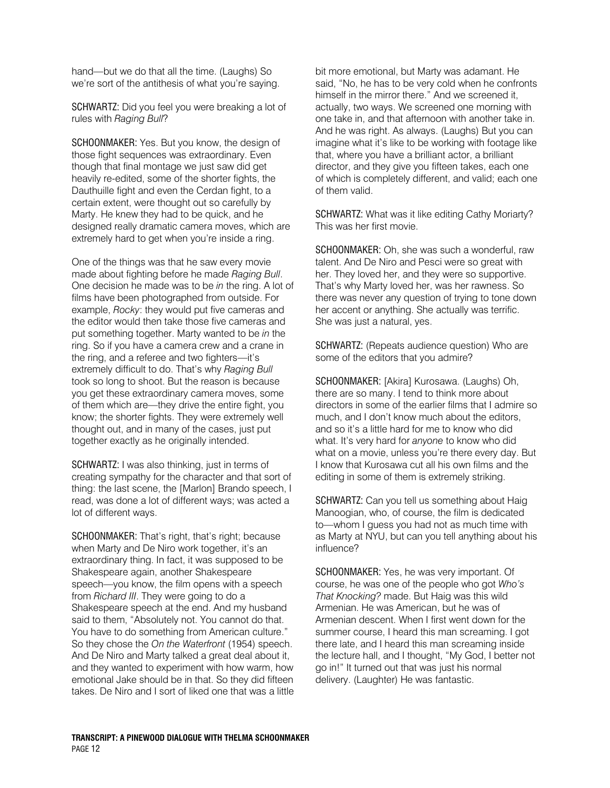hand—but we do that all the time. (Laughs) So we're sort of the antithesis of what you're saying.

SCHWARTZ: Did you feel you were breaking a lot of rules with Raging Bull?

SCHOONMAKER: Yes. But you know, the design of those fight sequences was extraordinary. Even though that final montage we just saw did get heavily re-edited, some of the shorter fights, the Dauthuille fight and even the Cerdan fight, to a certain extent, were thought out so carefully by Marty. He knew they had to be quick, and he designed really dramatic camera moves, which are extremely hard to get when you're inside a ring.

One of the things was that he saw every movie made about fighting before he made Raging Bull. One decision he made was to be in the ring. A lot of films have been photographed from outside. For example, Rocky: they would put five cameras and the editor would then take those five cameras and put something together. Marty wanted to be in the ring. So if you have a camera crew and a crane in the ring, and a referee and two fighters—it's extremely difficult to do. That's why Raging Bull took so long to shoot. But the reason is because you get these extraordinary camera moves, some of them which are—they drive the entire fight, you know; the shorter fights. They were extremely well thought out, and in many of the cases, just put together exactly as he originally intended.

SCHWARTZ: I was also thinking, just in terms of creating sympathy for the character and that sort of thing: the last scene, the [Marlon] Brando speech, I read, was done a lot of different ways; was acted a lot of different ways.

SCHOONMAKER: That's right, that's right; because when Marty and De Niro work together, it's an extraordinary thing. In fact, it was supposed to be Shakespeare again, another Shakespeare speech—you know, the film opens with a speech from Richard III. They were going to do a Shakespeare speech at the end. And my husband said to them, "Absolutely not. You cannot do that. You have to do something from American culture." So they chose the On the Waterfront (1954) speech. And De Niro and Marty talked a great deal about it, and they wanted to experiment with how warm, how emotional Jake should be in that. So they did fifteen takes. De Niro and I sort of liked one that was a little bit more emotional, but Marty was adamant. He said, "No, he has to be very cold when he confronts himself in the mirror there." And we screened it, actually, two ways. We screened one morning with one take in, and that afternoon with another take in. And he was right. As always. (Laughs) But you can imagine what it's like to be working with footage like that, where you have a brilliant actor, a brilliant director, and they give you fifteen takes, each one of which is completely different, and valid; each one of them valid.

SCHWARTZ: What was it like editing Cathy Moriarty? This was her first movie.

SCHOONMAKER: Oh, she was such a wonderful, raw talent. And De Niro and Pesci were so great with her. They loved her, and they were so supportive. That's why Marty loved her, was her rawness. So there was never any question of trying to tone down her accent or anything. She actually was terrific. She was just a natural, yes.

SCHWARTZ: (Repeats audience question) Who are some of the editors that you admire?

SCHOONMAKER: [Akira] Kurosawa. (Laughs) Oh, there are so many. I tend to think more about directors in some of the earlier films that I admire so much, and I don't know much about the editors, and so it's a little hard for me to know who did what. It's very hard for anyone to know who did what on a movie, unless you're there every day. But I know that Kurosawa cut all his own films and the editing in some of them is extremely striking.

SCHWARTZ: Can you tell us something about Haig Manoogian, who, of course, the film is dedicated to—whom I guess you had not as much time with as Marty at NYU, but can you tell anything about his influence?

SCHOONMAKER: Yes, he was very important. Of course, he was one of the people who got Who's That Knocking? made. But Haig was this wild Armenian. He was American, but he was of Armenian descent. When I first went down for the summer course, I heard this man screaming. I got there late, and I heard this man screaming inside the lecture hall, and I thought, "My God, I better not go in!" It turned out that was just his normal delivery. (Laughter) He was fantastic.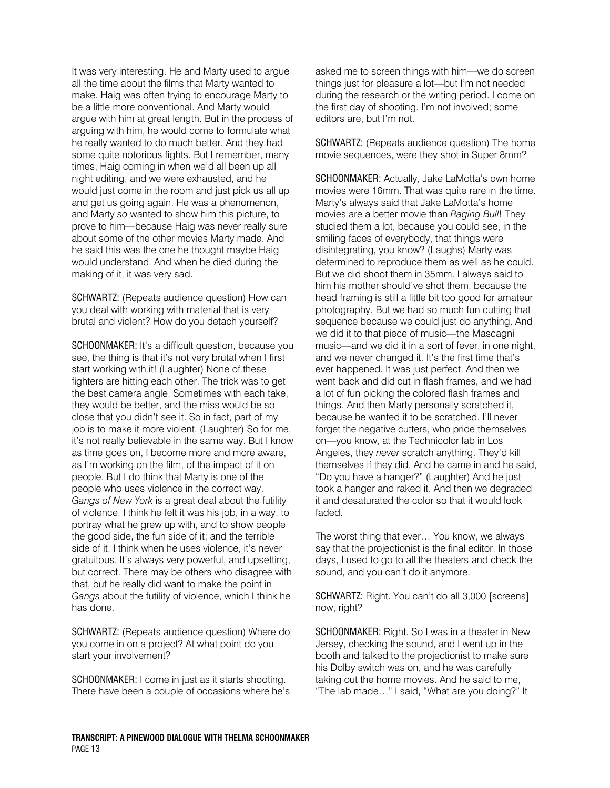It was very interesting. He and Marty used to argue all the time about the films that Marty wanted to make. Haig was often trying to encourage Marty to be a little more conventional. And Marty would argue with him at great length. But in the process of arguing with him, he would come to formulate what he really wanted to do much better. And they had some quite notorious fights. But I remember, many times, Haig coming in when we'd all been up all night editing, and we were exhausted, and he would just come in the room and just pick us all up and get us going again. He was a phenomenon, and Marty so wanted to show him this picture, to prove to him—because Haig was never really sure about some of the other movies Marty made. And he said this was the one he thought maybe Haig would understand. And when he died during the making of it, it was very sad.

SCHWARTZ: (Repeats audience question) How can you deal with working with material that is very brutal and violent? How do you detach yourself?

SCHOONMAKER: It's a difficult question, because you see, the thing is that it's not very brutal when I first start working with it! (Laughter) None of these fighters are hitting each other. The trick was to get the best camera angle. Sometimes with each take, they would be better, and the miss would be so close that you didn't see it. So in fact, part of my job is to make it more violent. (Laughter) So for me, it's not really believable in the same way. But I know as time goes on, I become more and more aware, as I'm working on the film, of the impact of it on people. But I do think that Marty is one of the people who uses violence in the correct way. Gangs of New York is a great deal about the futility of violence. I think he felt it was his job, in a way, to portray what he grew up with, and to show people the good side, the fun side of it; and the terrible side of it. I think when he uses violence, it's never gratuitous. It's always very powerful, and upsetting, but correct. There may be others who disagree with that, but he really did want to make the point in Gangs about the futility of violence, which I think he has done.

SCHWARTZ: (Repeats audience question) Where do you come in on a project? At what point do you start your involvement?

SCHOONMAKER: I come in just as it starts shooting. There have been a couple of occasions where he's asked me to screen things with him—we do screen things just for pleasure a lot—but I'm not needed during the research or the writing period. I come on the first day of shooting. I'm not involved; some editors are, but I'm not.

SCHWARTZ: (Repeats audience question) The home movie sequences, were they shot in Super 8mm?

SCHOONMAKER: Actually, Jake LaMotta's own home movies were 16mm. That was quite rare in the time. Marty's always said that Jake LaMotta's home movies are a better movie than Raging Bull! They studied them a lot, because you could see, in the smiling faces of everybody, that things were disintegrating, you know? (Laughs) Marty was determined to reproduce them as well as he could. But we did shoot them in 35mm. I always said to him his mother should've shot them, because the head framing is still a little bit too good for amateur photography. But we had so much fun cutting that sequence because we could just do anything. And we did it to that piece of music—the Mascagni music—and we did it in a sort of fever, in one night, and we never changed it. It's the first time that's ever happened. It was just perfect. And then we went back and did cut in flash frames, and we had a lot of fun picking the colored flash frames and things. And then Marty personally scratched it, because he wanted it to be scratched. I'll never forget the negative cutters, who pride themselves on—you know, at the Technicolor lab in Los Angeles, they never scratch anything. They'd kill themselves if they did. And he came in and he said, "Do you have a hanger?" (Laughter) And he just took a hanger and raked it. And then we degraded it and desaturated the color so that it would look faded.

The worst thing that ever… You know, we always say that the projectionist is the final editor. In those days, I used to go to all the theaters and check the sound, and you can't do it anymore.

SCHWARTZ: Right. You can't do all 3,000 [screens] now, right?

SCHOONMAKER: Right. So I was in a theater in New Jersey, checking the sound, and I went up in the booth and talked to the projectionist to make sure his Dolby switch was on, and he was carefully taking out the home movies. And he said to me, "The lab made…" I said, "What are you doing?" It